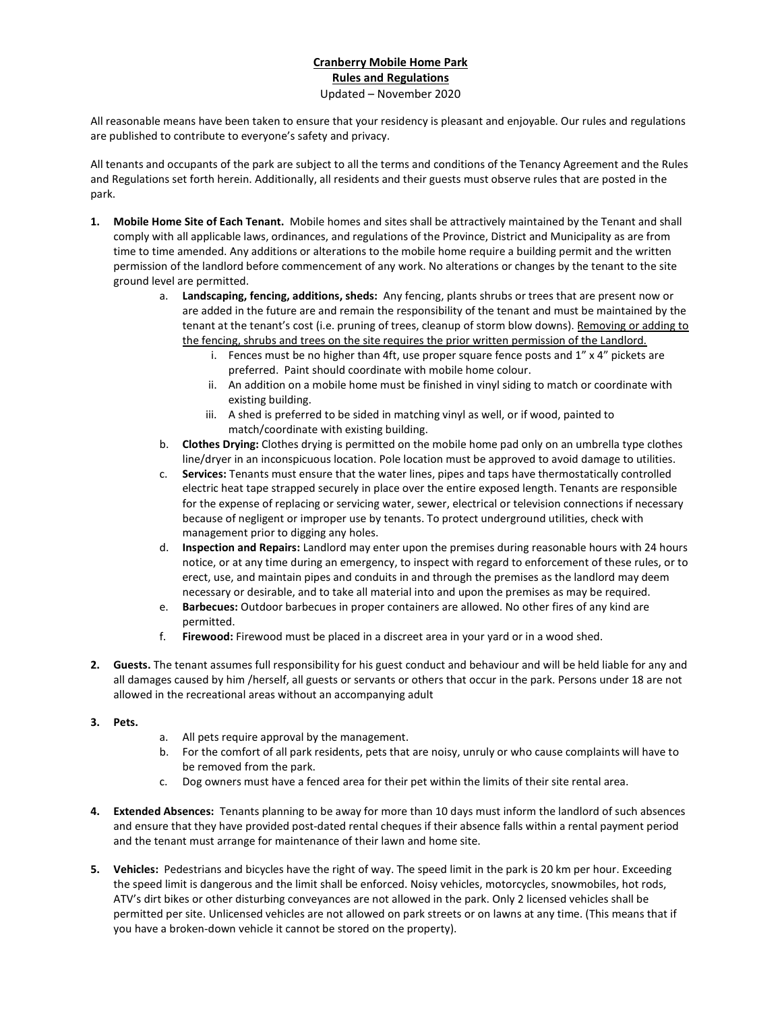## Cranberry Mobile Home Park Rules and Regulations Updated – November 2020

All reasonable means have been taken to ensure that your residency is pleasant and enjoyable. Our rules and regulations are published to contribute to everyone's safety and privacy.

All tenants and occupants of the park are subject to all the terms and conditions of the Tenancy Agreement and the Rules and Regulations set forth herein. Additionally, all residents and their guests must observe rules that are posted in the park.

- 1. Mobile Home Site of Each Tenant. Mobile homes and sites shall be attractively maintained by the Tenant and shall comply with all applicable laws, ordinances, and regulations of the Province, District and Municipality as are from time to time amended. Any additions or alterations to the mobile home require a building permit and the written permission of the landlord before commencement of any work. No alterations or changes by the tenant to the site ground level are permitted.
	- a. Landscaping, fencing, additions, sheds: Any fencing, plants shrubs or trees that are present now or are added in the future are and remain the responsibility of the tenant and must be maintained by the tenant at the tenant's cost (i.e. pruning of trees, cleanup of storm blow downs). Removing or adding to the fencing, shrubs and trees on the site requires the prior written permission of the Landlord.
		- i. Fences must be no higher than 4ft, use proper square fence posts and  $1''$  x  $4''$  pickets are preferred. Paint should coordinate with mobile home colour.
		- ii. An addition on a mobile home must be finished in vinyl siding to match or coordinate with existing building.
		- iii. A shed is preferred to be sided in matching vinyl as well, or if wood, painted to match/coordinate with existing building.
	- b. Clothes Drying: Clothes drying is permitted on the mobile home pad only on an umbrella type clothes line/dryer in an inconspicuous location. Pole location must be approved to avoid damage to utilities.
	- c. Services: Tenants must ensure that the water lines, pipes and taps have thermostatically controlled electric heat tape strapped securely in place over the entire exposed length. Tenants are responsible for the expense of replacing or servicing water, sewer, electrical or television connections if necessary because of negligent or improper use by tenants. To protect underground utilities, check with management prior to digging any holes.
	- d. Inspection and Repairs: Landlord may enter upon the premises during reasonable hours with 24 hours notice, or at any time during an emergency, to inspect with regard to enforcement of these rules, or to erect, use, and maintain pipes and conduits in and through the premises as the landlord may deem necessary or desirable, and to take all material into and upon the premises as may be required.
	- e. Barbecues: Outdoor barbecues in proper containers are allowed. No other fires of any kind are permitted.
	- f. Firewood: Firewood must be placed in a discreet area in your yard or in a wood shed.
- 2. Guests. The tenant assumes full responsibility for his guest conduct and behaviour and will be held liable for any and all damages caused by him /herself, all guests or servants or others that occur in the park. Persons under 18 are not allowed in the recreational areas without an accompanying adult
- 3. Pets.
- a. All pets require approval by the management.
- b. For the comfort of all park residents, pets that are noisy, unruly or who cause complaints will have to be removed from the park.
- c. Dog owners must have a fenced area for their pet within the limits of their site rental area.
- 4. Extended Absences: Tenants planning to be away for more than 10 days must inform the landlord of such absences and ensure that they have provided post-dated rental cheques if their absence falls within a rental payment period and the tenant must arrange for maintenance of their lawn and home site.
- 5. Vehicles: Pedestrians and bicycles have the right of way. The speed limit in the park is 20 km per hour. Exceeding the speed limit is dangerous and the limit shall be enforced. Noisy vehicles, motorcycles, snowmobiles, hot rods, ATV's dirt bikes or other disturbing conveyances are not allowed in the park. Only 2 licensed vehicles shall be permitted per site. Unlicensed vehicles are not allowed on park streets or on lawns at any time. (This means that if you have a broken-down vehicle it cannot be stored on the property).